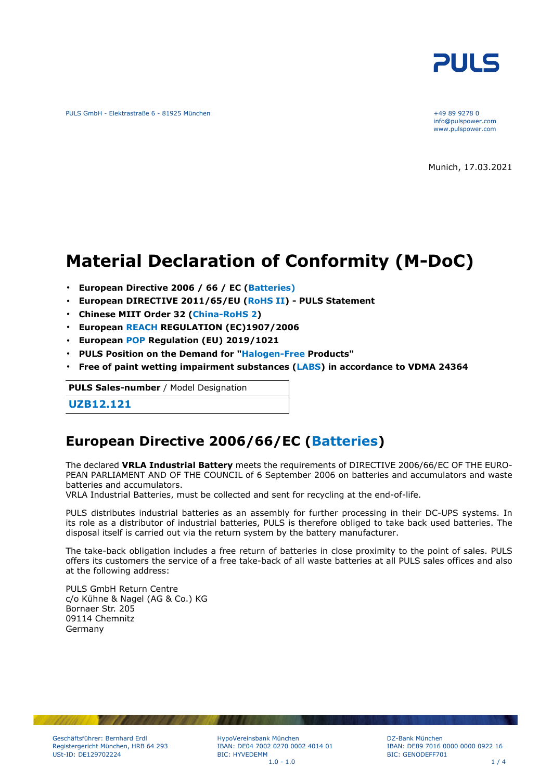

PULS GmbH - Elektrastraße 6 - 81925 München +49 89 9278 0

info@pulspower.com www.pulspower.com

Munich, 17.03.2021

# **Material Declaration of Conformity (M-DoC)**

- **European Directive 2006 / 66 / EC (Batteries)**
- **European DIRECTIVE 2011/65/EU (RoHS II) PULS Statement**
- **Chinese MIIT Order 32 (China-RoHS 2)**
- **European REACH REGULATION (EC)1907/2006**
- **European POP Regulation (EU) 2019/1021**
- **PULS Position on the Demand for "Halogen-Free Products"**
- **Free of paint wetting impairment substances (LABS) in accordance to VDMA 24364**

**PULS Sales-number** / Model Designation

**UZB12.121**

### **European Directive 2006/66/EC (Batteries)**

The declared **VRLA Industrial Battery** meets the requirements of DIRECTIVE 2006/66/EC OF THE EURO-PEAN PARLIAMENT AND OF THE COUNCIL of 6 September 2006 on batteries and accumulators and waste batteries and accumulators.

VRLA Industrial Batteries, must be collected and sent for recycling at the end-of-life.

PULS distributes industrial batteries as an assembly for further processing in their DC-UPS systems. In its role as a distributor of industrial batteries, PULS is therefore obliged to take back used batteries. The disposal itself is carried out via the return system by the battery manufacturer.

The take-back obligation includes a free return of batteries in close proximity to the point of sales. PULS offers its customers the service of a free take-back of all waste batteries at all PULS sales offices and also at the following address:

PULS GmbH Return Centre c/o Kühne & Nagel (AG & Co.) KG Bornaer Str. 205 09114 Chemnitz Germany

HypoVereinsbank München IBAN: DE04 7002 0270 0002 4014 01 BIC: HYVEDEMM  $1.0 - 1.0$  1/4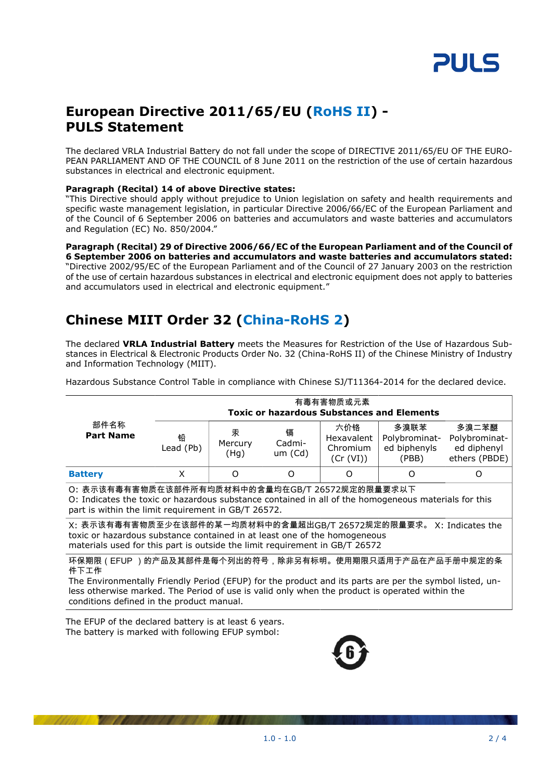

### **European Directive 2011/65/EU (RoHS II) - PULS Statement**

The declared VRLA Industrial Battery do not fall under the scope of DIRECTIVE 2011/65/EU OF THE EURO-PEAN PARLIAMENT AND OF THE COUNCIL of 8 June 2011 on the restriction of the use of certain hazardous substances in electrical and electronic equipment.

#### **Paragraph (Recital) 14 of above Directive states:**

"This Directive should apply without prejudice to Union legislation on safety and health requirements and specific waste management legislation, in particular Directive 2006/66/EC of the European Parliament and of the Council of 6 September 2006 on batteries and accumulators and waste batteries and accumulators and Regulation (EC) No. 850/2004."

#### **Paragraph (Recital) 29 of Directive 2006/66/EC of the European Parliament and of the Council of 6 September 2006 on batteries and accumulators and waste batteries and accumulators stated:** "Directive 2002/95/EC of the European Parliament and of the Council of 27 January 2003 on the restriction of the use of certain hazardous substances in electrical and electronic equipment does not apply to batteries and accumulators used in electrical and electronic equipment."

# **Chinese MIIT Order 32 (China-RoHS 2)**

The declared **VRLA Industrial Battery** meets the Measures for Restriction of the Use of Hazardous Substances in Electrical & Electronic Products Order No. 32 (China-RoHS II) of the Chinese Ministry of Industry and Information Technology (MIIT).

Hazardous Substance Control Table in compliance with Chinese SJ/T11364-2014 for the declared device.

|                                                                                                                                                                                                                                                                                                                          | 有毒有害物质或元素<br><b>Toxic or hazardous Substances and Elements</b> |                      |                        |                                            |                                                |                                                        |  |
|--------------------------------------------------------------------------------------------------------------------------------------------------------------------------------------------------------------------------------------------------------------------------------------------------------------------------|----------------------------------------------------------------|----------------------|------------------------|--------------------------------------------|------------------------------------------------|--------------------------------------------------------|--|
| 部件名称<br><b>Part Name</b>                                                                                                                                                                                                                                                                                                 | 铅<br>Lead (Pb)                                                 | 汞<br>Mercury<br>(Hg) | 镉<br>Cadmi-<br>um (Cd) | 六价铬<br>Hexavalent<br>Chromium<br>(Cr (VI)) | 多溴联苯<br>Polybrominat-<br>ed biphenyls<br>(PBB) | 多溴二苯醚<br>Polybrominat-<br>ed diphenyl<br>ethers (PBDE) |  |
| <b>Battery</b>                                                                                                                                                                                                                                                                                                           | X                                                              | O                    | Ω                      | O                                          | Ω                                              | Ω                                                      |  |
| O: 表示该有毒有害物质在该部件所有均质材料中的含量均在GB/T 26572规定的限量要求以下<br>O: Indicates the toxic or hazardous substance contained in all of the homogeneous materials for this<br>part is within the limit requirement in GB/T 26572.                                                                                                           |                                                                |                      |                        |                                            |                                                |                                                        |  |
| X: 表示该有毒有害物质至少在该部件的某一均质材料中的含量超出GB/T_26572规定的限量要求。 X: Indicates the<br>toxic or hazardous substance contained in at least one of the homogeneous<br>materials used for this part is outside the limit requirement in GB/T 26572                                                                                           |                                                                |                      |                        |                                            |                                                |                                                        |  |
| 环保期限(EFUP )的产品及其部件是每个列出的符号,除非另有标明。使用期限只适用于产品在产品手册中规定的条<br>件下工作<br>The Environmentally Friendly Period (EFUP) for the product and its parts are per the symbol listed, un-<br>less otherwise marked. The Period of use is valid only when the product is operated within the<br>conditions defined in the product manual. |                                                                |                      |                        |                                            |                                                |                                                        |  |

The EFUP of the declared battery is at least 6 years. The battery is marked with following EFUP symbol:

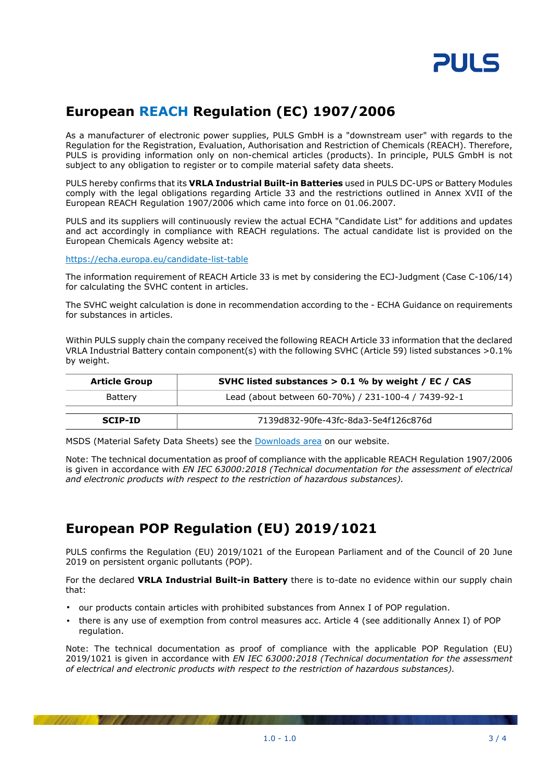

# **European REACH Regulation (EC) 1907/2006**

As a manufacturer of electronic power supplies, PULS GmbH is a "downstream user" with regards to the Regulation for the Registration, Evaluation, Authorisation and Restriction of Chemicals (REACH). Therefore, PULS is providing information only on non-chemical articles (products). In principle, PULS GmbH is not subject to any obligation to register or to compile material safety data sheets.

PULS hereby confirms that its **VRLA Industrial Built-in Batteries** used in PULS DC-UPS or Battery Modules comply with the legal obligations regarding Article 33 and the restrictions outlined in Annex XVII of the European REACH Regulation 1907/2006 which came into force on 01.06.2007.

PULS and its suppliers will continuously review the actual ECHA "Candidate List" for additions and updates and act accordingly in compliance with REACH regulations. The actual candidate list is provided on the European Chemicals Agency website at:

<https://echa.europa.eu/candidate-list-table>

The information requirement of REACH Article 33 is met by considering the ECJ-Judgment (Case C-106/14) for calculating the SVHC content in articles.

The SVHC weight calculation is done in recommendation according to the - ECHA Guidance on requirements for substances in articles.

Within PULS supply chain the company received the following REACH Article 33 information that the declared VRLA Industrial Battery contain component(s) with the following SVHC (Article 59) listed substances >0.1% by weight.

| <b>Article Group</b> | SVHC listed substances $> 0.1$ % by weight / EC / CAS |  |
|----------------------|-------------------------------------------------------|--|
| Battery              | Lead (about between 60-70%) / 231-100-4 / 7439-92-1   |  |
| <b>SCIP-ID</b>       | 7139d832-90fe-43fc-8da3-5e4f126c876d                  |  |

MSDS (Material Safety Data Sheets) see the [Downloads area](https://www.pulspower.com/support/downloads/product-specific-documents/) on our website.

Note: The technical documentation as proof of compliance with the applicable REACH Regulation 1907/2006 is given in accordance with *EN IEC 63000:2018 (Technical documentation for the assessment of electrical and electronic products with respect to the restriction of hazardous substances).*

## **European POP Regulation (EU) 2019/1021**

PULS confirms the Regulation (EU) 2019/1021 of the European Parliament and of the Council of 20 June 2019 on persistent organic pollutants (POP).

For the declared **VRLA Industrial Built-in Battery** there is to-date no evidence within our supply chain that:

- our products contain articles with prohibited substances from Annex I of POP regulation.
- there is any use of exemption from control measures acc. Article 4 (see additionally Annex I) of POP regulation.

Note: The technical documentation as proof of compliance with the applicable POP Regulation (EU) 2019/1021 is given in accordance with *EN IEC 63000:2018 (Technical documentation for the assessment of electrical and electronic products with respect to the restriction of hazardous substances).*